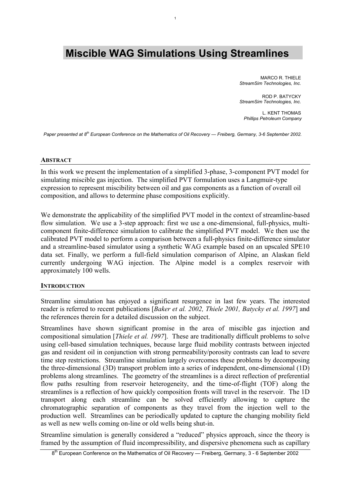# **Miscible WAG Simulations Using Streamlines**

1

MARCO R. THIFLE *StreamSim Technologies, Inc.*

ROD P. BATYCKY *StreamSim Technologies, Inc.*

L. KENT THOMAS *Phillips Petroleum Company* 

*Paper presented at 8th European Conference on the Mathematics of Oil Recovery — Freiberg, Germany, 3-6 September 2002.* 

#### **ABSTRACT**

In this work we present the implementation of a simplified 3-phase, 3-component PVT model for simulating miscible gas injection. The simplified PVT formulation uses a Langmuir-type expression to represent miscibility between oil and gas components as a function of overall oil composition, and allows to determine phase compositions explicitly.

We demonstrate the applicability of the simplified PVT model in the context of streamline-based flow simulation. We use a 3-step approach: first we use a one-dimensional, full-physics, multicomponent finite-difference simulation to calibrate the simplified PVT model. We then use the calibrated PVT model to perform a comparison between a full-physics finite-difference simulator and a streamline-based simulator using a synthetic WAG example based on an upscaled SPE10 data set. Finally, we perform a full-field simulation comparison of Alpine, an Alaskan field currently undergoing WAG injection. The Alpine model is a complex reservoir with approximately 100 wells.

#### **INTRODUCTION**

Streamline simulation has enjoyed a significant resurgence in last few years. The interested reader is referred to recent publications [*Baker et al. 2002, Thiele 2001, Batycky et al. 1997*] and the references therein for a detailed discussion on the subject.

Streamlines have shown significant promise in the area of miscible gas injection and compositional simulation [*Thiele et al. 1997*]. These are traditionally difficult problems to solve using cell-based simulation techniques, because large fluid mobility contrasts between injected gas and resident oil in conjunction with strong permeability/porosity contrasts can lead to severe time step restrictions. Streamline simulation largely overcomes these problems by decomposing the three-dimensional (3D) transport problem into a series of independent, one-dimensional (1D) problems along streamlines. The geometry of the streamlines is a direct reflection of preferential flow paths resulting from reservoir heterogeneity, and the time-of-flight (TOF) along the streamlines is a reflection of how quickly composition fronts will travel in the reservoir. The 1D transport along each streamline can be solved efficiently allowing to capture the chromatographic separation of components as they travel from the injection well to the production well. Streamlines can be periodically updated to capture the changing mobility field as well as new wells coming on-line or old wells being shut-in.

Streamline simulation is generally considered a "reduced" physics approach, since the theory is framed by the assumption of fluid incompressibility, and dispersive phenomena such as capillary

 $8<sup>th</sup>$  European Conference on the Mathematics of Oil Recovery — Freiberg, Germany, 3 - 6 September 2002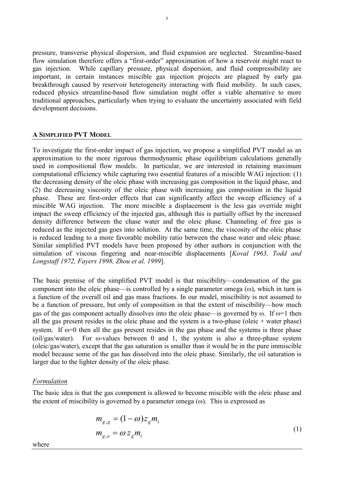pressure, transverse physical dispersion, and fluid expansion are neglected. Streamline-based flow simulation therefore offers a "first-order" approximation of how a reservoir might react to gas injection. While capillary pressure, physical dispersion, and fluid compressibility are important, in certain instances miscible gas injection projects are plagued by early gas breakthrough caused by reservoir heterogeneity interacting with fluid mobility. In such cases, reduced physics streamline-based flow simulation might offer a viable alternative to more traditional approaches, particularly when trying to evaluate the uncertainty associated with field development decisions.

# **A SIMPLIFIED PVT MODEL**

To investigate the first-order impact of gas injection, we propose a simplified PVT model as an approximation to the more rigorous thermodynamic phase equilibrium calculations generally used in compositional flow models. In particular, we are interested in retaining maximum computational efficiency while capturing two essential features of a miscible WAG injection: (1) the decreasing density of the oleic phase with increasing gas composition in the liquid phase, and (2) the decreasing viscosity of the oleic phase with increasing gas composition in the liquid phase. These are first-order effects that can significantly affect the sweep efficiency of a miscible WAG injection. The more miscible a displacement is the less gas override might impact the sweep efficiency of the injected gas, although this is partially offset by the increased density difference between the chase water and the oleic phase. Channeling of free gas is reduced as the injected gas goes into solution. At the same time, the viscosity of the oleic phase is reduced leading to a more favorable mobility ratio between the chase water and oleic phase. Similar simplified PVT models have been proposed by other authors in conjunction with the simulation of viscous fingering and near-miscible displacements [*Koval 1963, Todd and Longstaff 1972, Fayers 1998, Zhou et al. 1999*].

The basic premise of the simplified PVT model is that miscibility—condensation of the gas component into the oleic phase—is controlled by a single parameter omega  $(\omega)$ , which in turn is a function of the overall oil and gas mass fractions. In our model, miscibility is not assumed to be a function of pressure, but only of composition in that the extent of miscibility—how much gas of the gas component actually dissolves into the oleic phase—is governed by  $\omega$ . If  $\omega=1$  then all the gas present resides in the oleic phase and the system is a two-phase (oleic + water phase) system. If  $\omega$ =0 then all the gas present resides in the gas phase and the systems is three phase  $\frac{\text{1}}{\text{1}}$  (oil/gas/water). For  $\omega$ -values between 0 and 1, the system is also a three-phase system (oleic/gas/water), except that the gas saturation is smaller than it would be in the pure immiscible model because some of the gas has dissolved into the oleic phase. Similarly, the oil saturation is larger due to the lighter density of the oleic phase.

#### *Formulation*

The basic idea is that the gas component is allowed to become miscible with the oleic phase and the extent of miscibility is governed by a parameter omega  $(\omega)$ . This is expressed as

$$
m_{g,g} = (1 - \omega) z_g m_t
$$
  
\n
$$
m_{g,o} = \omega z_g m_t
$$
\n(1)

where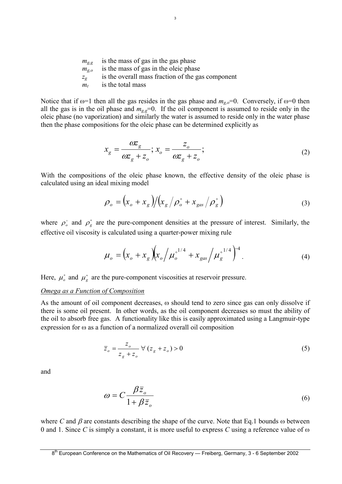|                    | is the mass of gas in the gas phase               |
|--------------------|---------------------------------------------------|
| $m_{g,g}$          |                                                   |
| $m_{g,o}$          | is the mass of gas in the oleic phase             |
| $Z_{\mathfrak{L}}$ | is the overall mass fraction of the gas component |
| $m_{t}$            | is the total mass                                 |
|                    |                                                   |

Notice that if  $\omega=1$  then all the gas resides in the gas phase and  $m_{g,o}=0$ . Conversely, if  $\omega=0$  then all the gas is in the oil phase and  $m_{g,g}=0$ . If the oil component is assumed to reside only in the oleic phase (no vaporization) and similarly the water is assumed to reside only in the water phase then the phase compositions for the oleic phase can be determined explicitly as

$$
x_g = \frac{\omega z_g}{\omega z_g + z_o}; x_o = \frac{z_o}{\omega z_g + z_o};
$$
\n(2)

With the compositions of the oleic phase known, the effective density of the oleic phase is calculated using an ideal mixing model

$$
\rho_o = \left(x_o + x_g\right) / \left(x_g / \rho_o^{\circ} + x_{gas} / \rho_g^{\circ}\right)
$$
\n(3)

where  $\rho_o^{\circ}$  and  $\rho_g^{\circ}$  are the pure-component densities at the pressure of interest. Similarly, the effective oil viscosity is calculated using a quarter-power mixing rule

$$
\mu_o = \left(x_o + x_g\right)\left(x_o / \mu_o^{s^{1/4}} + x_{gas} / \mu_g^{s^{1/4}}\right)^{-4}.
$$
\n(4)

Here,  $\mu_o^{\circ}$  and  $\mu_g^{\circ}$  are the pure-component viscosities at reservoir pressure.

# *Omega as a Function of Composition*

As the amount of oil component decreases,  $\omega$  should tend to zero since gas can only dissolve if there is some oil present. In other words, as the oil component decreases so must the ability of the oil to absorb free gas. A functionality like this is easily approximated using a Langmuir-type expression for  $\omega$  as a function of a normalized overall oil composition

$$
\overline{z}_o = \frac{z_o}{z_g + z_o} \quad \forall (z_g + z_o) > 0 \tag{5}
$$

and

$$
\omega = C \frac{\beta \bar{z}_o}{1 + \beta \bar{z}_o} \tag{6}
$$

where *C* and  $\beta$  are constants describing the shape of the curve. Note that Eq.1 bounds  $\omega$  between 0 and 1. Since *C* is simply a constant, it is more useful to express *C* using a reference value of  $\omega$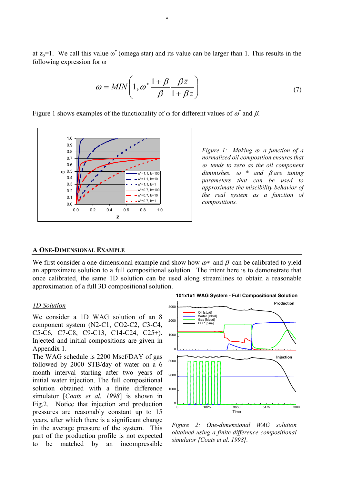at  $z_0$ =1. We call this value  $\omega^*$  (omega star) and its value can be larger than 1. This results in the following expression for  $\omega$ 

4

$$
\omega = MIN \left( 1, \omega^* \frac{1 + \beta}{\beta} \frac{\beta \bar{z}}{1 + \beta \bar{z}} \right) \tag{7}
$$

Figure 1 shows examples of the functionality of  $\omega$  for different values of  $\omega^*$  and  $\beta$ .



*Figure 1: Making*  $\omega$  *a function of a normalized oil composition ensures that* - *tends to zero as the oil component*  $diminishes.$   $\omega$  \* and  $\beta$  are tuning *parameters that can be used to approximate the miscibility behavior of the real system as a function of compositions.* 

#### **A ONE-DIMENSIONAL EXAMPLE**

We first consider a one-dimensional example and show how  $\omega^*$  and  $\beta$  can be calibrated to yield an approximate solution to a full compositional solution. The intent here is to demonstrate that once calibrated, the same 1D solution can be used along streamlines to obtain a reasonable approximation of a full 3D compositional solution.

#### *1D Solution*

We consider a 1D WAG solution of an 8 component system (N2-C1, CO2-C2, C3-C4, C5-C6, C7-C8, C9-C13, C14-C24, C25+). Injected and initial compositions are given in Appendix 1.

The WAG schedule is 2200 Mscf/DAY of gas followed by 2000 STB/day of water on a 6 month interval starting after two years of initial water injection. The full compositional solution obtained with a finite difference simulator [*Coats et al. 1998*] is shown in Fig.2. Notice that injection and production pressures are reasonably constant up to 15 years, after which there is a significant change in the average pressure of the system. This part of the production profile is not expected to be matched by an incompressible



*Figure 2: One-dimensional WAG solution obtained using a finite-difference compositional simulator [Coats et al. 1998].*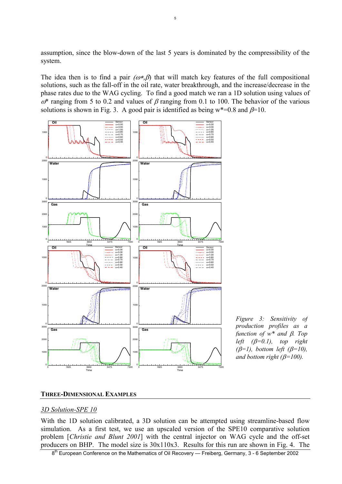assumption, since the blow-down of the last 5 years is dominated by the compressibility of the system.

5

The idea then is to find a pair  $(\omega^*, \beta)$  that will match key features of the full compositional solutions, such as the fall-off in the oil rate, water breakthrough, and the increase/decrease in the phase rates due to the WAG cycling. To find a good match we ran a 1D solution using values of  $\omega^*$  ranging from 5 to 0.2 and values of  $\beta$  ranging from 0.1 to 100. The behavior of the various solutions is shown in Fig. 3. A good pair is identified as being  $w^*=0.8$  and  $\beta=10$ .



*Figure 3: Sensitivity of production profiles as a function of*  $w^*$  *and*  $\beta$ *. Top left*  $(\beta=0.1)$ , *top right*  $(\beta=1)$ , bottom left  $(\beta=10)$ , *and bottom right (* $\beta$ *=100).* 

# **THREE-DIMENSIONAL EXAMPLES**

#### *3D Solution-SPE 10*

With the 1D solution calibrated, a 3D solution can be attempted using streamline-based flow simulation. As a first test, we use an upscaled version of the SPE10 comparative solution problem [*Christie and Blunt 2001*] with the central injector on WAG cycle and the off-set producers on BHP. The model size is 30x110x3. Results for this run are shown in Fig. 4. The

8<sup>th</sup> European Conference on the Mathematics of Oil Recovery — Freiberg, Germany, 3 - 6 September 2002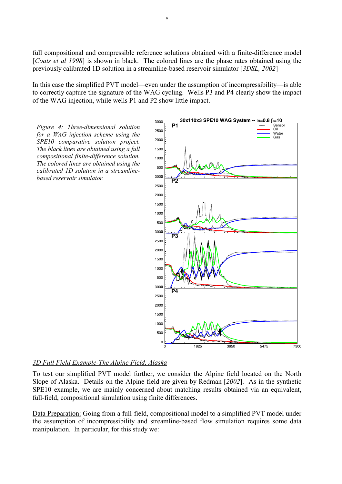full compositional and compressible reference solutions obtained with a finite-difference model [*Coats et al 1998*] is shown in black. The colored lines are the phase rates obtained using the previously calibrated 1D solution in a streamline-based reservoir simulator [*3DSL, 2002*]

In this case the simplified PVT model—even under the assumption of incompressibility—is able to correctly capture the signature of the WAG cycling. Wells P3 and P4 clearly show the impact of the WAG injection, while wells P1 and P2 show little impact.

*Figure 4: Three-dimensional solution for a WAG injection scheme using the SPE10 comparative solution project. The black lines are obtained using a full compositional finite-difference solution. The colored lines are obtained using the calibrated 1D solution in a streamlinebased reservoir simulator.* <sup>0</sup>



# *3D Full Field Example-The Alpine Field, Alaska*

To test our simplified PVT model further, we consider the Alpine field located on the North Slope of Alaska. Details on the Alpine field are given by Redman [*2002*]. As in the synthetic SPE10 example, we are mainly concerned about matching results obtained via an equivalent, full-field, compositional simulation using finite differences.

Data Preparation: Going from a full-field, compositional model to a simplified PVT model under the assumption of incompressibility and streamline-based flow simulation requires some data manipulation. In particular, for this study we: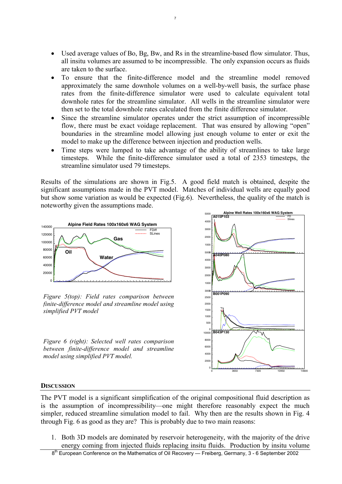$\bullet$  Used average values of Bo, Bg, Bw, and Rs in the streamline-based flow simulator. Thus, all insitu volumes are assumed to be incompressible. The only expansion occurs as fluids are taken to the surface.

7

- - To ensure that the finite-difference model and the streamline model removed approximately the same downhole volumes on a well-by-well basis, the surface phase rates from the finite-difference simulator were used to calculate equivalent total downhole rates for the streamline simulator. All wells in the streamline simulator were then set to the total downhole rates calculated from the finite difference simulator.
- - Since the streamline simulator operates under the strict assumption of incompressible flow, there must be exact voidage replacement. That was ensured by allowing "open" boundaries in the streamline model allowing just enough volume to enter or exit the model to make up the difference between injection and production wells.
- - Time steps were lumped to take advantage of the ability of streamlines to take large timesteps. While the finite-difference simulator used a total of 2353 timesteps, the streamline simulator used 79 timesteps.

Results of the simulations are shown in Fig.5. A good field match is obtained, despite the significant assumptions made in the PVT model. Matches of individual wells are equally good but show some variation as would be expected (Fig.6). Nevertheless, the quality of the match is noteworthy given the assumptions made.



*Figure 5(top): Field rates comparison between finite-difference model and streamline model using simplified PVT model* 

*Figure 6 (right): Selected well rates comparison between finite-difference model and streamline model using simplified PVT model.* 



# **DISCUSSION**

The PVT model is a significant simplification of the original compositional fluid description as is the assumption of incompressibility—one might therefore reasonably expect the much simpler, reduced streamline simulation model to fail. Why then are the results shown in Fig. 4 through Fig. 6 as good as they are? This is probably due to two main reasons:

1. Both 3D models are dominated by reservoir heterogeneity, with the majority of the drive energy coming from injected fluids replacing insitu fluids. Production by insitu volume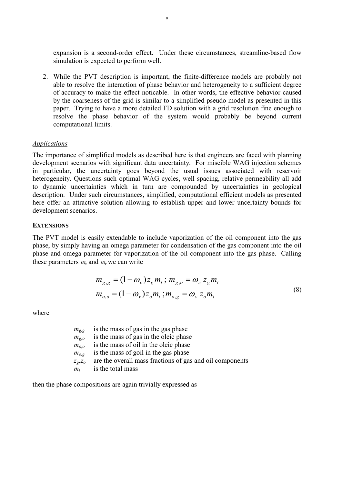expansion is a second-order effect. Under these circumstances, streamline-based flow simulation is expected to perform well.

8

2. While the PVT description is important, the finite-difference models are probably not able to resolve the interaction of phase behavior and heterogeneity to a sufficient degree of accuracy to make the effect noticable. In other words, the effective behavior caused by the coarseness of the grid is similar to a simplified pseudo model as presented in this paper. Trying to have a more detailed FD solution with a grid resolution fine enough to resolve the phase behavior of the system would probably be beyond current computational limits.

### *Applications*

The importance of simplified models as described here is that engineers are faced with planning development scenarios with significant data uncertainty. For miscible WAG injection schemes in particular, the uncertainty goes beyond the usual issues associated with reservoir heterogeneity. Questions such optimal WAG cycles, well spacing, relative permeability all add to dynamic uncertainties which in turn are compounded by uncertainties in geological description. Under such circumstances, simplified, computational efficient models as presented here offer an attractive solution allowing to establish upper and lower uncertainty bounds for development scenarios.

#### **EXTENSIONS**

The PVT model is easily extendable to include vaporization of the oil component into the gas phase, by simply having an omega parameter for condensation of the gas component into the oil phase and omega parameter for vaporization of the oil component into the gas phase. Calling these parameters  $\omega_c$  and  $\omega_v$  we can write

$$
m_{g,g} = (1 - \omega_c) z_g m_t; m_{g,o} = \omega_c z_g m_t
$$
  
\n
$$
m_{o,o} = (1 - \omega_v) z_o m_t; m_{o,g} = \omega_v z_o m_t
$$
\n(8)

where

| $m_{\sigma\sigma}$ | is the mass of gas in the gas phase                      |
|--------------------|----------------------------------------------------------|
| $m_{\sigma}$       | is the mass of gas in the oleic phase                    |
| $m_{0,0}$          | is the mass of oil in the oleic phase                    |
| $m_{\alpha}$       | is the mass of goil in the gas phase                     |
| $Z_2, Z_0$         | are the overall mass fractions of gas and oil components |
| $m_{t}$            | is the total mass                                        |

then the phase compositions are again trivially expressed as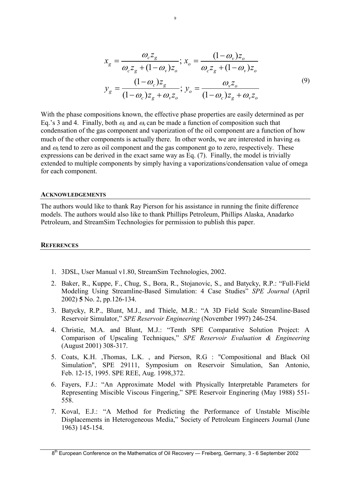$$
x_{g} = \frac{\omega_{c} z_{g}}{\omega_{c} z_{g} + (1 - \omega_{v}) z_{o}}; x_{o} = \frac{(1 - \omega_{v}) z_{o}}{\omega_{c} z_{g} + (1 - \omega_{v}) z_{o}}
$$

$$
y_{g} = \frac{(1 - \omega_{c}) z_{g}}{(1 - \omega_{c}) z_{g} + \omega_{v} z_{o}}; y_{o} = \frac{\omega_{v} z_{o}}{(1 - \omega_{c}) z_{g} + \omega_{v} z_{o}}
$$
(9)

With the phase compositions known, the effective phase properties are easily determined as per Eq.'s 3 and 4. Finally, both  $\omega_c$  and  $\omega_v$  can be made a function of composition such that condensation of the gas component and vaporization of the oil component are a function of how much of the other components is actually there. In other words, we are interested in having  $\omega_c$ and  $\omega$  tend to zero as oil component and the gas component go to zero, respectively. These expressions can be derived in the exact same way as Eq. (7). Finally, the model is trivially extended to multiple components by simply having a vaporizations/condensation value of omega for each component.

 $\alpha$ 

#### **ACKNOWLEDGEMENTS**

The authors would like to thank Ray Pierson for his assistance in running the finite difference models. The authors would also like to thank Phillips Petroleum, Phillips Alaska, Anadarko Petroleum, and StreamSim Technologies for permission to publish this paper.

#### **REFERENCES**

- 1. 3DSL, User Manual v1.80, StreamSim Technologies, 2002.
- 2. Baker, R., Kuppe, F., Chug, S., Bora, R., Stojanovic, S., and Batycky, R.P.: "Full-Field Modeling Using Streamline-Based Simulation: 4 Case Studies" *SPE Journal* (April 2002) **5** No. 2, pp.126-134.
- 3. Batycky, R.P., Blunt, M.J., and Thiele, M.R.: "A 3D Field Scale Streamline-Based Reservoir Simulator," *SPE Reservoir Engineering* (November 1997) 246-254.
- 4. Christie, M.A. and Blunt, M.J.: "Tenth SPE Comparative Solution Project: A Comparison of Upscaling Techniques," *SPE Reservoir Evaluation & Engineering*  (August 2001) 308-317.
- 5. Coats, K.H. ,Thomas, L.K. , and Pierson, R.G : "Compositional and Black Oil Simulation", SPE 29111, Symposium on Reservoir Simulation, San Antonio, Feb. 12-15, 1995. SPE REE, Aug. 1998,372.
- 6. Fayers, F.J.: "An Approximate Model with Physically Interpretable Parameters for Representing Miscible Viscous Fingering," SPE Reservoir Enginering (May 1988) 551- 558.
- 7. Koval, E.J.: "A Method for Predicting the Performance of Unstable Miscible Displacements in Heterogeneous Media," Society of Petroleum Engineers Journal (June 1963) 145-154.

 $8<sup>th</sup>$  European Conference on the Mathematics of Oil Recovery — Freiberg, Germany, 3 - 6 September 2002